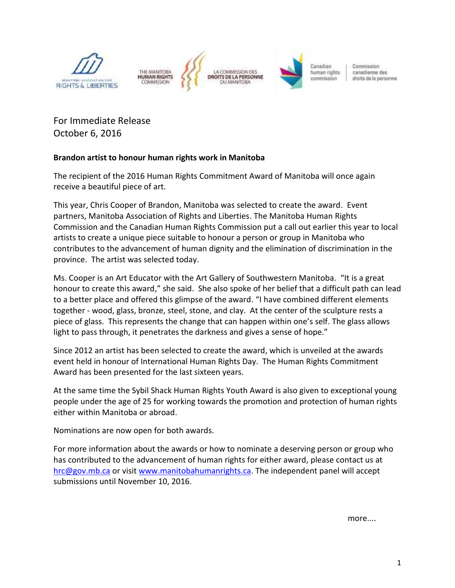

For Immediate Release October 6, 2016

## **Brandon artist to honour human rights work in Manitoba**

The recipient of the 2016 Human Rights Commitment Award of Manitoba will once again receive a beautiful piece of art.

This year, Chris Cooper of Brandon, Manitoba was selected to create the award. Event partners, Manitoba Association of Rights and Liberties. The Manitoba Human Rights Commission and the Canadian Human Rights Commission put a call out earlier this year to local artists to create a unique piece suitable to honour a person or group in Manitoba who contributes to the advancement of human dignity and the elimination of discrimination in the province. The artist was selected today.

Ms. Cooper is an Art Educator with the Art Gallery of Southwestern Manitoba. "It is a great honour to create this award," she said. She also spoke of her belief that a difficult path can lead to a better place and offered this glimpse of the award. "I have combined different elements together - wood, glass, bronze, steel, stone, and clay. At the center of the sculpture rests a piece of glass. This represents the change that can happen within one's self. The glass allows light to pass through, it penetrates the darkness and gives a sense of hope."

Since 2012 an artist has been selected to create the award, which is unveiled at the awards event held in honour of International Human Rights Day. The Human Rights Commitment Award has been presented for the last sixteen years.

At the same time the Sybil Shack Human Rights Youth Award is also given to exceptional young people under the age of 25 for working towards the promotion and protection of human rights either within Manitoba or abroad.

Nominations are now open for both awards.

For more information about the awards or how to nominate a deserving person or group who has contributed to the advancement of human rights for either award, please contact us at [hrc@gov.mb.ca](mailto:hrc@gov.mb.ca) or visi[t www.manitobahumanrights.ca.](https://www.manitobahumanrights.ca/) The independent panel will accept submissions until November 10, 2016.

more....